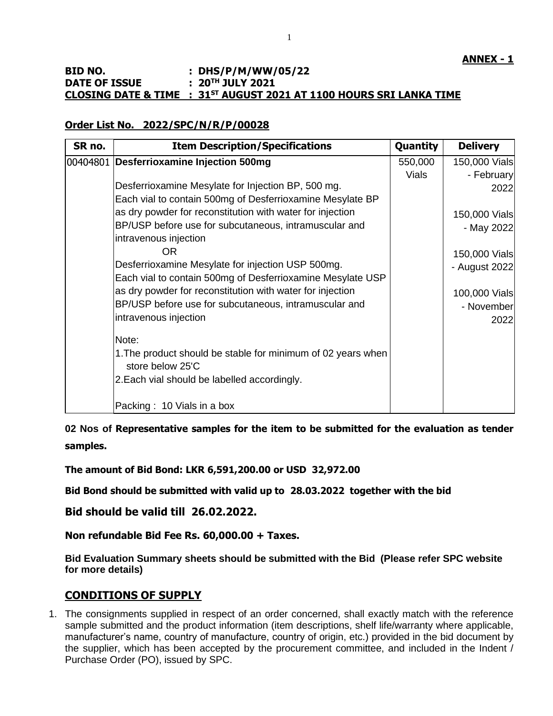# **BID NO. : DHS/P/M/WW/05/22 DATE OF ISSUE : 20TH JULY 2021 CLOSING DATE & TIME : 31ST AUGUST 2021 AT 1100 HOURS SRI LANKA TIME**

# **Order List No. 2022/SPC/N/R/P/00028**

| SR no. | <b>Item Description/Specifications</b>                                           | Quantity | <b>Delivery</b> |
|--------|----------------------------------------------------------------------------------|----------|-----------------|
|        | 00404801 Desferrioxamine Injection 500mg                                         | 550,000  | 150,000 Vials   |
|        |                                                                                  | Vials    | - February      |
|        | Desferrioxamine Mesylate for Injection BP, 500 mg.                               |          | 2022            |
|        | Each vial to contain 500mg of Desferrioxamine Mesylate BP                        |          |                 |
|        | as dry powder for reconstitution with water for injection                        |          | 150,000 Vials   |
|        | BP/USP before use for subcutaneous, intramuscular and                            |          | - May 2022      |
|        | intravenous injection                                                            |          |                 |
|        | <b>OR</b>                                                                        |          | 150,000 Vials   |
|        | Desferrioxamine Mesylate for injection USP 500mg.                                |          | - August 2022   |
|        | Each vial to contain 500mg of Desferrioxamine Mesylate USP                       |          |                 |
|        | as dry powder for reconstitution with water for injection                        |          | 100,000 Vials   |
|        | BP/USP before use for subcutaneous, intramuscular and                            |          | - November      |
|        | intravenous injection                                                            |          | 2022            |
|        | Note:                                                                            |          |                 |
|        | 1. The product should be stable for minimum of 02 years when<br>store below 25'C |          |                 |
|        | 2. Each vial should be labelled accordingly.                                     |          |                 |
|        | Packing: 10 Vials in a box                                                       |          |                 |

**02 Nos of Representative samples for the item to be submitted for the evaluation as tender samples.**

**The amount of Bid Bond: LKR 6,591,200.00 or USD 32,972.00**

**Bid Bond should be submitted with valid up to 28.03.2022 together with the bid**

**Bid should be valid till 26.02.2022.**

**Non refundable Bid Fee Rs. 60,000.00 + Taxes.**

**Bid Evaluation Summary sheets should be submitted with the Bid (Please refer SPC website for more details)**

# **CONDITIONS OF SUPPLY**

1. The consignments supplied in respect of an order concerned, shall exactly match with the reference sample submitted and the product information (item descriptions, shelf life/warranty where applicable, manufacturer's name, country of manufacture, country of origin, etc.) provided in the bid document by the supplier, which has been accepted by the procurement committee, and included in the Indent / Purchase Order (PO), issued by SPC.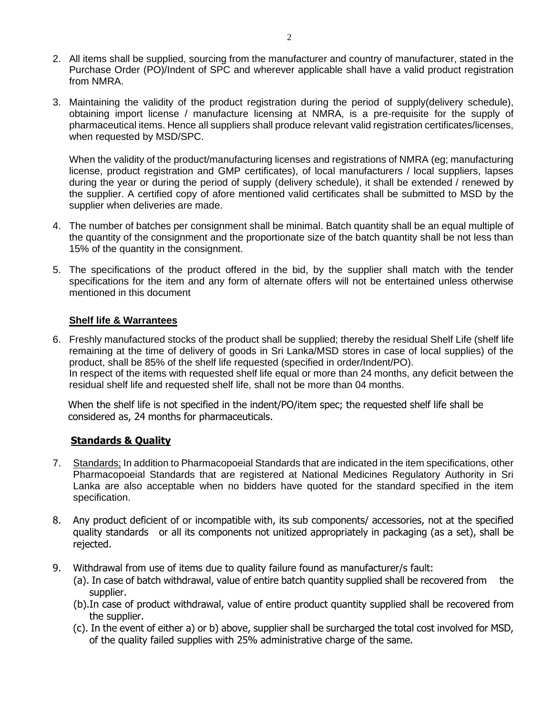- 2. All items shall be supplied, sourcing from the manufacturer and country of manufacturer, stated in the Purchase Order (PO)/Indent of SPC and wherever applicable shall have a valid product registration from NMRA.
- 3. Maintaining the validity of the product registration during the period of supply(delivery schedule), obtaining import license / manufacture licensing at NMRA, is a pre-requisite for the supply of pharmaceutical items. Hence all suppliers shall produce relevant valid registration certificates/licenses, when requested by MSD/SPC.

When the validity of the product/manufacturing licenses and registrations of NMRA (eg; manufacturing license, product registration and GMP certificates), of local manufacturers / local suppliers, lapses during the year or during the period of supply (delivery schedule), it shall be extended / renewed by the supplier. A certified copy of afore mentioned valid certificates shall be submitted to MSD by the supplier when deliveries are made.

- 4. The number of batches per consignment shall be minimal. Batch quantity shall be an equal multiple of the quantity of the consignment and the proportionate size of the batch quantity shall be not less than 15% of the quantity in the consignment.
- 5. The specifications of the product offered in the bid, by the supplier shall match with the tender specifications for the item and any form of alternate offers will not be entertained unless otherwise mentioned in this document

## **Shelf life & Warrantees**

6. Freshly manufactured stocks of the product shall be supplied; thereby the residual Shelf Life (shelf life remaining at the time of delivery of goods in Sri Lanka/MSD stores in case of local supplies) of the product, shall be 85% of the shelf life requested (specified in order/Indent/PO). In respect of the items with requested shelf life equal or more than 24 months, any deficit between the residual shelf life and requested shelf life, shall not be more than 04 months.

When the shelf life is not specified in the indent/PO/item spec; the requested shelf life shall be considered as, 24 months for pharmaceuticals.

#### **Standards & Quality**

- 7. Standards; In addition to Pharmacopoeial Standards that are indicated in the item specifications, other Pharmacopoeial Standards that are registered at National Medicines Regulatory Authority in Sri Lanka are also acceptable when no bidders have quoted for the standard specified in the item specification.
- 8. Any product deficient of or incompatible with, its sub components/ accessories, not at the specified quality standards or all its components not unitized appropriately in packaging (as a set), shall be rejected.
- 9. Withdrawal from use of items due to quality failure found as manufacturer/s fault:
	- (a). In case of batch withdrawal, value of entire batch quantity supplied shall be recovered from the supplier.
	- (b).In case of product withdrawal, value of entire product quantity supplied shall be recovered from the supplier.
	- (c). In the event of either a) or b) above, supplier shall be surcharged the total cost involved for MSD, of the quality failed supplies with 25% administrative charge of the same.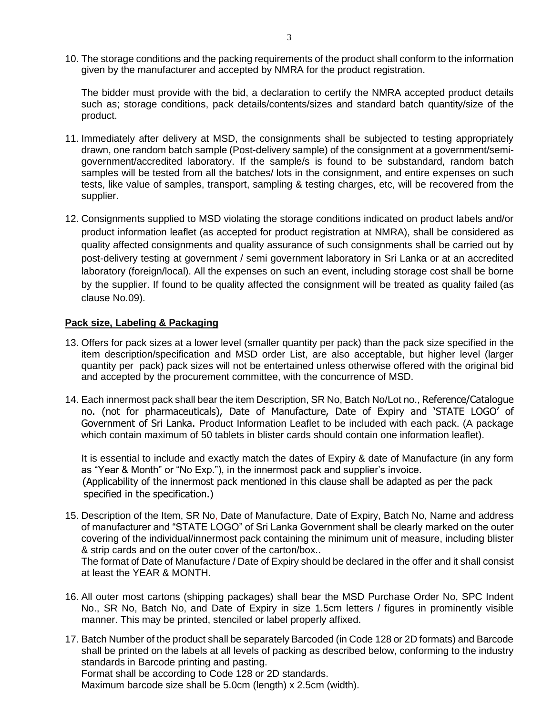10. The storage conditions and the packing requirements of the product shall conform to the information given by the manufacturer and accepted by NMRA for the product registration.

The bidder must provide with the bid, a declaration to certify the NMRA accepted product details such as; storage conditions, pack details/contents/sizes and standard batch quantity/size of the product.

- 11. Immediately after delivery at MSD, the consignments shall be subjected to testing appropriately drawn, one random batch sample (Post-delivery sample) of the consignment at a government/semigovernment/accredited laboratory. If the sample/s is found to be substandard, random batch samples will be tested from all the batches/ lots in the consignment, and entire expenses on such tests, like value of samples, transport, sampling & testing charges, etc, will be recovered from the supplier.
- 12. Consignments supplied to MSD violating the storage conditions indicated on product labels and/or product information leaflet (as accepted for product registration at NMRA), shall be considered as quality affected consignments and quality assurance of such consignments shall be carried out by post-delivery testing at government / semi government laboratory in Sri Lanka or at an accredited laboratory (foreign/local). All the expenses on such an event, including storage cost shall be borne by the supplier. If found to be quality affected the consignment will be treated as quality failed (as clause No.09).

## **Pack size, Labeling & Packaging**

- 13. Offers for pack sizes at a lower level (smaller quantity per pack) than the pack size specified in the item description/specification and MSD order List, are also acceptable, but higher level (larger quantity per pack) pack sizes will not be entertained unless otherwise offered with the original bid and accepted by the procurement committee, with the concurrence of MSD.
- 14. Each innermost pack shall bear the item Description, SR No, Batch No/Lot no., Reference/Catalogue no. (not for pharmaceuticals), Date of Manufacture, Date of Expiry and 'STATE LOGO' of Government of Sri Lanka. Product Information Leaflet to be included with each pack. (A package which contain maximum of 50 tablets in blister cards should contain one information leaflet).

It is essential to include and exactly match the dates of Expiry & date of Manufacture (in any form as "Year & Month" or "No Exp."), in the innermost pack and supplier's invoice. (Applicability of the innermost pack mentioned in this clause shall be adapted as per the pack specified in the specification.)

15. Description of the Item, SR No, Date of Manufacture, Date of Expiry, Batch No, Name and address of manufacturer and "STATE LOGO" of Sri Lanka Government shall be clearly marked on the outer covering of the individual/innermost pack containing the minimum unit of measure, including blister & strip cards and on the outer cover of the carton/box..

The format of Date of Manufacture / Date of Expiry should be declared in the offer and it shall consist at least the YEAR & MONTH.

- 16. All outer most cartons (shipping packages) shall bear the MSD Purchase Order No, SPC Indent No., SR No, Batch No, and Date of Expiry in size 1.5cm letters / figures in prominently visible manner. This may be printed, stenciled or label properly affixed.
- 17. Batch Number of the product shall be separately Barcoded (in Code 128 or 2D formats) and Barcode shall be printed on the labels at all levels of packing as described below, conforming to the industry standards in Barcode printing and pasting. Format shall be according to Code 128 or 2D standards. Maximum barcode size shall be 5.0cm (length) x 2.5cm (width).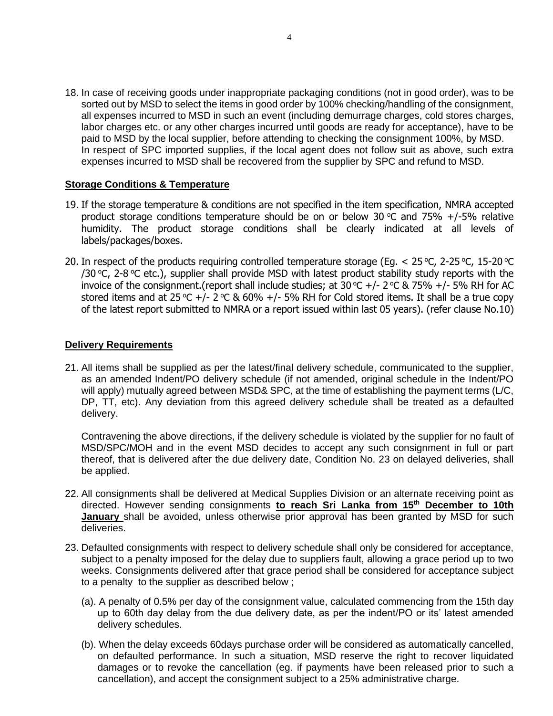18. In case of receiving goods under inappropriate packaging conditions (not in good order), was to be sorted out by MSD to select the items in good order by 100% checking/handling of the consignment, all expenses incurred to MSD in such an event (including demurrage charges, cold stores charges, labor charges etc. or any other charges incurred until goods are ready for acceptance), have to be paid to MSD by the local supplier, before attending to checking the consignment 100%, by MSD. In respect of SPC imported supplies, if the local agent does not follow suit as above, such extra expenses incurred to MSD shall be recovered from the supplier by SPC and refund to MSD.

#### **Storage Conditions & Temperature**

- 19. If the storage temperature & conditions are not specified in the item specification, NMRA accepted product storage conditions temperature should be on or below 30  $\degree$ C and 75% +/-5% relative humidity. The product storage conditions shall be clearly indicated at all levels of labels/packages/boxes.
- 20. In respect of the products requiring controlled temperature storage (Eq.  $<$  25 °C, 2-25 °C, 15-20 °C /30 °C, 2-8 °C etc.), supplier shall provide MSD with latest product stability study reports with the invoice of the consignment.(report shall include studies; at 30 °C +/- 2 °C & 75% +/- 5% RH for AC stored items and at 25 °C +/- 2 °C & 60% +/- 5% RH for Cold stored items. It shall be a true copy of the latest report submitted to NMRA or a report issued within last 05 years). (refer clause No.10)

## **Delivery Requirements**

21. All items shall be supplied as per the latest/final delivery schedule, communicated to the supplier, as an amended Indent/PO delivery schedule (if not amended, original schedule in the Indent/PO will apply) mutually agreed between MSD& SPC, at the time of establishing the payment terms (L/C, DP, TT, etc). Any deviation from this agreed delivery schedule shall be treated as a defaulted delivery.

Contravening the above directions, if the delivery schedule is violated by the supplier for no fault of MSD/SPC/MOH and in the event MSD decides to accept any such consignment in full or part thereof, that is delivered after the due delivery date, Condition No. 23 on delayed deliveries, shall be applied.

- 22. All consignments shall be delivered at Medical Supplies Division or an alternate receiving point as directed. However sending consignments **to reach Sri Lanka from 15th December to 10th January** shall be avoided, unless otherwise prior approval has been granted by MSD for such deliveries.
- 23. Defaulted consignments with respect to delivery schedule shall only be considered for acceptance, subject to a penalty imposed for the delay due to suppliers fault, allowing a grace period up to two weeks. Consignments delivered after that grace period shall be considered for acceptance subject to a penalty to the supplier as described below ;
	- (a). A penalty of 0.5% per day of the consignment value, calculated commencing from the 15th day up to 60th day delay from the due delivery date, as per the indent/PO or its' latest amended delivery schedules.
	- (b). When the delay exceeds 60days purchase order will be considered as automatically cancelled, on defaulted performance. In such a situation, MSD reserve the right to recover liquidated damages or to revoke the cancellation (eg. if payments have been released prior to such a cancellation), and accept the consignment subject to a 25% administrative charge.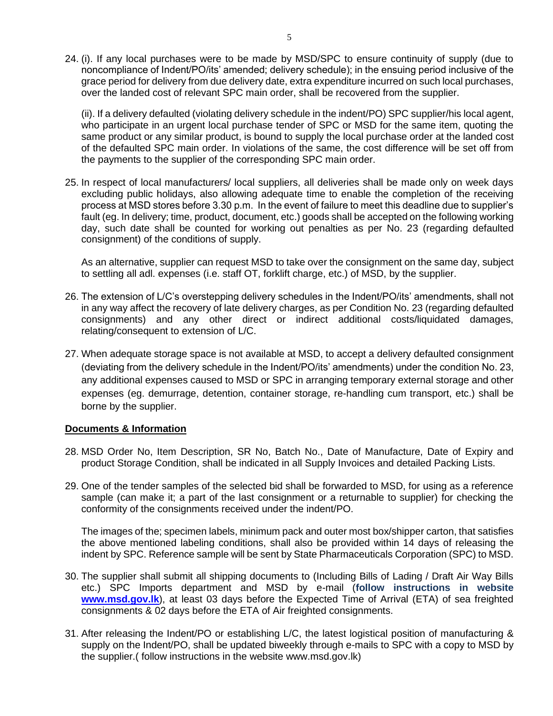24. (i). If any local purchases were to be made by MSD/SPC to ensure continuity of supply (due to noncompliance of Indent/PO/its' amended; delivery schedule); in the ensuing period inclusive of the grace period for delivery from due delivery date, extra expenditure incurred on such local purchases, over the landed cost of relevant SPC main order, shall be recovered from the supplier.

(ii). If a delivery defaulted (violating delivery schedule in the indent/PO) SPC supplier/his local agent, who participate in an urgent local purchase tender of SPC or MSD for the same item, quoting the same product or any similar product, is bound to supply the local purchase order at the landed cost of the defaulted SPC main order. In violations of the same, the cost difference will be set off from the payments to the supplier of the corresponding SPC main order.

25. In respect of local manufacturers/ local suppliers, all deliveries shall be made only on week days excluding public holidays, also allowing adequate time to enable the completion of the receiving process at MSD stores before 3.30 p.m. In the event of failure to meet this deadline due to supplier's fault (eg. In delivery; time, product, document, etc.) goods shall be accepted on the following working day, such date shall be counted for working out penalties as per No. 23 (regarding defaulted consignment) of the conditions of supply.

As an alternative, supplier can request MSD to take over the consignment on the same day, subject to settling all adl. expenses (i.e. staff OT, forklift charge, etc.) of MSD, by the supplier.

- 26. The extension of L/C's overstepping delivery schedules in the Indent/PO/its' amendments, shall not in any way affect the recovery of late delivery charges, as per Condition No. 23 (regarding defaulted consignments) and any other direct or indirect additional costs/liquidated damages, relating/consequent to extension of L/C.
- 27. When adequate storage space is not available at MSD, to accept a delivery defaulted consignment (deviating from the delivery schedule in the Indent/PO/its' amendments) under the condition No. 23, any additional expenses caused to MSD or SPC in arranging temporary external storage and other expenses (eg. demurrage, detention, container storage, re-handling cum transport, etc.) shall be borne by the supplier.

#### **Documents & Information**

- 28. MSD Order No, Item Description, SR No, Batch No., Date of Manufacture, Date of Expiry and product Storage Condition, shall be indicated in all Supply Invoices and detailed Packing Lists.
- 29. One of the tender samples of the selected bid shall be forwarded to MSD, for using as a reference sample (can make it; a part of the last consignment or a returnable to supplier) for checking the conformity of the consignments received under the indent/PO.

The images of the; specimen labels, minimum pack and outer most box/shipper carton, that satisfies the above mentioned labeling conditions, shall also be provided within 14 days of releasing the indent by SPC. Reference sample will be sent by State Pharmaceuticals Corporation (SPC) to MSD.

- 30. The supplier shall submit all shipping documents to (Including Bills of Lading / Draft Air Way Bills etc.) SPC Imports department and MSD by e-mail (**follow instructions in website [www.msd.gov.lk](http://www.msd.gov.lk/)**), at least 03 days before the Expected Time of Arrival (ETA) of sea freighted consignments & 02 days before the ETA of Air freighted consignments.
- 31. After releasing the Indent/PO or establishing L/C, the latest logistical position of manufacturing & supply on the Indent/PO, shall be updated biweekly through e-mails to SPC with a copy to MSD by the supplier.( follow instructions in the website www.msd.gov.lk)